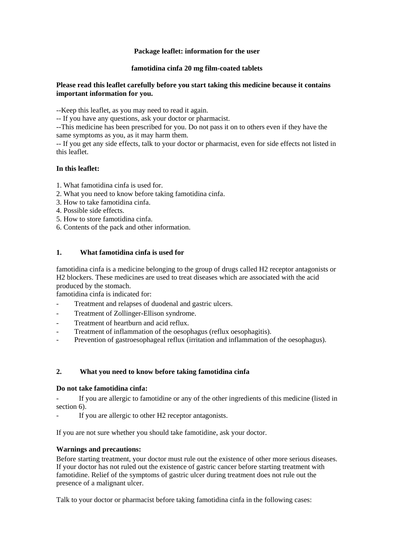# **Package leaflet: information for the user**

## **famotidina cinfa 20 mg film-coated tablets**

## **Please read this leaflet carefully before you start taking this medicine because it contains important information for you.**

--Keep this leaflet, as you may need to read it again.

-- If you have any questions, ask your doctor or pharmacist.

--This medicine has been prescribed for you. Do not pass it on to others even if they have the same symptoms as you, as it may harm them.

-- If you get any side effects, talk to your doctor or pharmacist, even for side effects not listed in this leaflet.

## **In this leaflet:**

- 1. What famotidina cinfa is used for.
- 2. What you need to know before taking famotidina cinfa.
- 3. How to take famotidina cinfa.
- 4. Possible side effects.
- 5. How to store famotidina cinfa.
- 6. Contents of the pack and other information.

# **1. What famotidina cinfa is used for**

famotidina cinfa is a medicine belonging to the group of drugs called H2 receptor antagonists or H2 blockers. These medicines are used to treat diseases which are associated with the acid produced by the stomach.

famotidina cinfa is indicated for:

- Treatment and relapses of duodenal and gastric ulcers.
- Treatment of Zollinger-Ellison syndrome.
- Treatment of heartburn and acid reflux.
- Treatment of inflammation of the oesophagus (reflux oesophagitis).
- Prevention of gastroesophageal reflux (irritation and inflammation of the oesophagus).

## **2. What you need to know before taking famotidina cinfa**

## **Do not take famotidina cinfa:**

If you are allergic to famotidine or any of the other ingredients of this medicine (listed in section 6).

If you are allergic to other H2 receptor antagonists.

If you are not sure whether you should take famotidine, ask your doctor.

## **Warnings and precautions:**

Before starting treatment, your doctor must rule out the existence of other more serious diseases. If your doctor has not ruled out the existence of gastric cancer before starting treatment with famotidine. Relief of the symptoms of gastric ulcer during treatment does not rule out the presence of a malignant ulcer.

Talk to your doctor or pharmacist before taking famotidina cinfa in the following cases: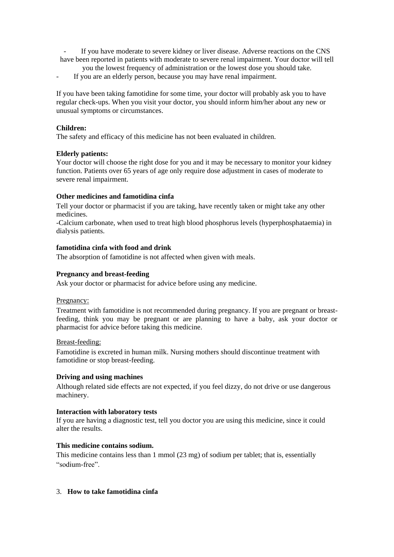If you have moderate to severe kidney or liver disease. Adverse reactions on the CNS have been reported in patients with moderate to severe renal impairment. Your doctor will tell

- you the lowest frequency of administration or the lowest dose you should take.
- If you are an elderly person, because you may have renal impairment.

If you have been taking famotidine for some time, your doctor will probably ask you to have regular check-ups. When you visit your doctor, you should inform him/her about any new or unusual symptoms or circumstances.

## **Children:**

The safety and efficacy of this medicine has not been evaluated in children.

## **Elderly patients:**

Your doctor will choose the right dose for you and it may be necessary to monitor your kidney function. Patients over 65 years of age only require dose adjustment in cases of moderate to severe renal impairment.

# **Other medicines and famotidina cinfa**

Tell your doctor or pharmacist if you are taking, have recently taken or might take any other medicines.

-Calcium carbonate, when used to treat high blood phosphorus levels (hyperphosphataemia) in dialysis patients.

## **famotidina cinfa with food and drink**

The absorption of famotidine is not affected when given with meals.

## **Pregnancy and breast-feeding**

Ask your doctor or pharmacist for advice before using any medicine.

## Pregnancy:

Treatment with famotidine is not recommended during pregnancy. If you are pregnant or breastfeeding, think you may be pregnant or are planning to have a baby, ask your doctor or pharmacist for advice before taking this medicine.

## Breast-feeding:

Famotidine is excreted in human milk. Nursing mothers should discontinue treatment with famotidine or stop breast-feeding.

## **Driving and using machines**

Although related side effects are not expected, if you feel dizzy, do not drive or use dangerous machinery.

## **Interaction with laboratory tests**

If you are having a diagnostic test, tell you doctor you are using this medicine, since it could alter the results.

# **This medicine contains sodium.**

This medicine contains less than 1 mmol (23 mg) of sodium per tablet; that is, essentially "sodium-free".

## 3. **How to take famotidina cinfa**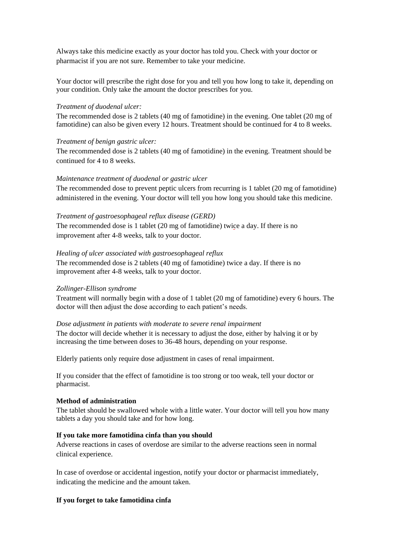Always take this medicine exactly as your doctor has told you. Check with your doctor or pharmacist if you are not sure. Remember to take your medicine.

Your doctor will prescribe the right dose for you and tell you how long to take it, depending on your condition. Only take the amount the doctor prescribes for you.

#### *Treatment of duodenal ulcer:*

The recommended dose is 2 tablets (40 mg of famotidine) in the evening. One tablet (20 mg of famotidine) can also be given every 12 hours. Treatment should be continued for 4 to 8 weeks.

#### *Treatment of benign gastric ulcer:*

The recommended dose is 2 tablets (40 mg of famotidine) in the evening. Treatment should be continued for 4 to 8 weeks.

## *Maintenance treatment of duodenal or gastric ulcer*

The recommended dose to prevent peptic ulcers from recurring is 1 tablet (20 mg of famotidine) administered in the evening. Your doctor will tell you how long you should take this medicine.

#### *Treatment of gastroesophageal reflux disease (GERD)*

The recommended dose is 1 tablet (20 mg of famotidine) twice a day. If there is no improvement after 4-8 weeks, talk to your doctor.

#### *Healing of ulcer associated with gastroesophageal reflux*

The recommended dose is 2 tablets (40 mg of famotidine) twice a day. If there is no improvement after 4-8 weeks, talk to your doctor.

## *Zollinger-Ellison syndrome*

Treatment will normally begin with a dose of 1 tablet (20 mg of famotidine) every 6 hours. The doctor will then adjust the dose according to each patient's needs.

#### *Dose adjustment in patients with moderate to severe renal impairment*

The doctor will decide whether it is necessary to adjust the dose, either by halving it or by increasing the time between doses to 36-48 hours, depending on your response.

Elderly patients only require dose adjustment in cases of renal impairment.

If you consider that the effect of famotidine is too strong or too weak, tell your doctor or pharmacist.

#### **Method of administration**

The tablet should be swallowed whole with a little water. Your doctor will tell you how many tablets a day you should take and for how long.

#### **If you take more famotidina cinfa than you should**

Adverse reactions in cases of overdose are similar to the adverse reactions seen in normal clinical experience.

In case of overdose or accidental ingestion, notify your doctor or pharmacist immediately, indicating the medicine and the amount taken.

## **If you forget to take famotidina cinfa**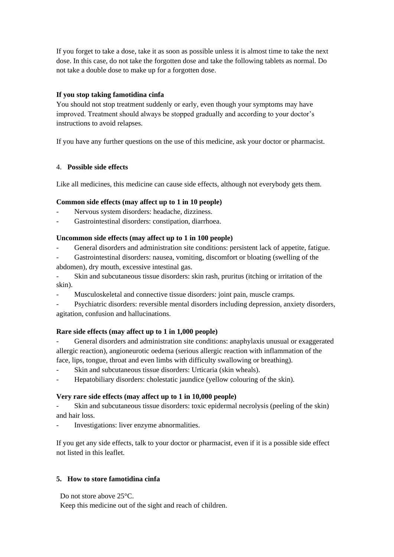If you forget to take a dose, take it as soon as possible unless it is almost time to take the next dose. In this case, do not take the forgotten dose and take the following tablets as normal. Do not take a double dose to make up for a forgotten dose.

# **If you stop taking famotidina cinfa**

You should not stop treatment suddenly or early, even though your symptoms may have improved. Treatment should always be stopped gradually and according to your doctor's instructions to avoid relapses.

If you have any further questions on the use of this medicine, ask your doctor or pharmacist.

# 4. **Possible side effects**

Like all medicines, this medicine can cause side effects, although not everybody gets them.

# **Common side effects (may affect up to 1 in 10 people)**

- Nervous system disorders: headache, dizziness.
- Gastrointestinal disorders: constipation, diarrhoea.

# **Uncommon side effects (may affect up to 1 in 100 people)**

- General disorders and administration site conditions: persistent lack of appetite, fatigue.
- Gastrointestinal disorders: nausea, vomiting, discomfort or bloating (swelling of the abdomen), dry mouth, excessive intestinal gas.
- Skin and subcutaneous tissue disorders: skin rash, pruritus (itching or irritation of the skin).
- Musculoskeletal and connective tissue disorders: joint pain, muscle cramps.
- Psychiatric disorders: reversible mental disorders including depression, anxiety disorders, agitation, confusion and hallucinations.

## **Rare side effects (may affect up to 1 in 1,000 people)**

- General disorders and administration site conditions: anaphylaxis unusual or exaggerated allergic reaction), angioneurotic oedema (serious allergic reaction with inflammation of the face, lips, tongue, throat and even limbs with difficulty swallowing or breathing).

- Skin and subcutaneous tissue disorders: Urticaria (skin wheals).
- Hepatobiliary disorders: cholestatic jaundice (yellow colouring of the skin).

# **Very rare side effects (may affect up to 1 in 10,000 people)**

- Skin and subcutaneous tissue disorders: toxic epidermal necrolysis (peeling of the skin) and hair loss.
- Investigations: liver enzyme abnormalities.

If you get any side effects, talk to your doctor or pharmacist, even if it is a possible side effect not listed in this leaflet.

## **5. How to store famotidina cinfa**

Do not store above 25°C.

Keep this medicine out of the sight and reach of children.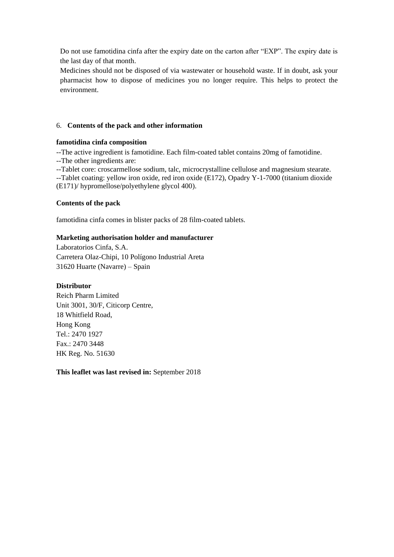Do not use famotidina cinfa after the expiry date on the carton after "EXP". The expiry date is the last day of that month.

Medicines should not be disposed of via wastewater or household waste. If in doubt, ask your pharmacist how to dispose of medicines you no longer require. This helps to protect the environment.

# 6. **Contents of the pack and other information**

# **famotidina cinfa composition**

--The active ingredient is famotidine. Each film-coated tablet contains 20mg of famotidine. --The other ingredients are:

--Tablet core: croscarmellose sodium, talc, microcrystalline cellulose and magnesium stearate. --Tablet coating: yellow iron oxide, red iron oxide (E172), Opadry Y-1-7000 (titanium dioxide (E171)/ hypromellose/polyethylene glycol 400).

# **Contents of the pack**

famotidina cinfa comes in blister packs of 28 film-coated tablets.

# **Marketing authorisation holder and manufacturer**

Laboratorios Cinfa, S.A. Carretera Olaz-Chipi, 10 Polígono Industrial Areta 31620 Huarte (Navarre) – Spain

# **Distributor**

Reich Pharm Limited Unit 3001, 30/F, Citicorp Centre, 18 Whitfield Road, Hong Kong Tel.: 2470 1927 Fax.: 2470 3448 HK Reg. No. 51630

**This leaflet was last revised in:** September 2018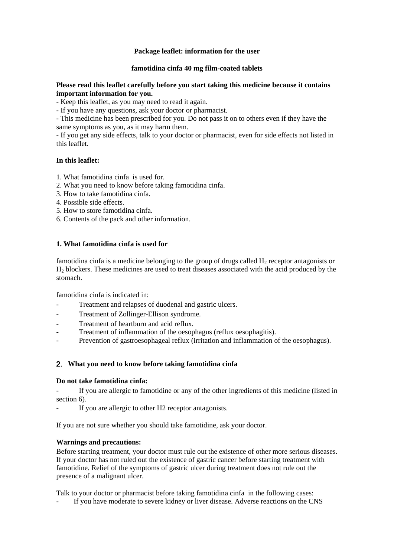# **Package leaflet: information for the user**

## **famotidina cinfa 40 mg film-coated tablets**

## **Please read this leaflet carefully before you start taking this medicine because it contains important information for you.**

- Keep this leaflet, as you may need to read it again.

- If you have any questions, ask your doctor or pharmacist.

- This medicine has been prescribed for you. Do not pass it on to others even if they have the same symptoms as you, as it may harm them.

- If you get any side effects, talk to your doctor or pharmacist, even for side effects not listed in this leaflet.

## **In this leaflet:**

1. What famotidina cinfa is used for.

- 2. What you need to know before taking famotidina cinfa.
- 3. How to take famotidina cinfa.
- 4. Possible side effects.
- 5. How to store famotidina cinfa.
- 6. Contents of the pack and other information.

# **1. What famotidina cinfa is used for**

famotidina cinfa is a medicine belonging to the group of drugs called  $H_2$  receptor antagonists or  $H<sub>2</sub>$  blockers. These medicines are used to treat diseases associated with the acid produced by the stomach.

famotidina cinfa is indicated in:

- Treatment and relapses of duodenal and gastric ulcers.
- Treatment of Zollinger-Ellison syndrome.
- Treatment of heartburn and acid reflux.
- Treatment of inflammation of the oesophagus (reflux oesophagitis).
- Prevention of gastroesophageal reflux (irritation and inflammation of the oesophagus).

## 2. **What you need to know before taking famotidina cinfa**

## **Do not take famotidina cinfa:**

If you are allergic to famotidine or any of the other ingredients of this medicine (listed in section 6).

If you are allergic to other H2 receptor antagonists.

If you are not sure whether you should take famotidine, ask your doctor.

## **Warnings and precautions:**

Before starting treatment, your doctor must rule out the existence of other more serious diseases. If your doctor has not ruled out the existence of gastric cancer before starting treatment with famotidine. Relief of the symptoms of gastric ulcer during treatment does not rule out the presence of a malignant ulcer.

Talk to your doctor or pharmacist before taking famotidina cinfa in the following cases:

If you have moderate to severe kidney or liver disease. Adverse reactions on the CNS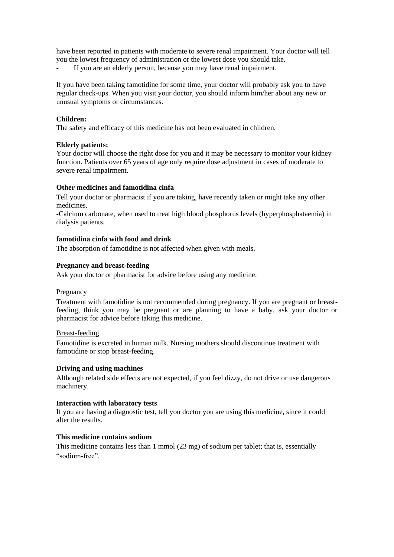have been reported in patients with moderate to severe renal impairment. Your doctor will tell you the lowest frequency of administration or the lowest dose you should take.

If you are an elderly person, because you may have renal impairment.

If you have been taking famotidine for some time, your doctor will probably ask you to have regular check-ups. When you visit your doctor, you should inform him/her about any new or unusual symptoms or circumstances.

#### **Children:**

The safety and efficacy of this medicine has not been evaluated in children.

#### **Elderly patients:**

Your doctor will choose the right dose for you and it may be necessary to monitor your kidney function. Patients over 65 years of age only require dose adjustment in cases of moderate to severe renal impairment.

#### **Other medicines and famotidina cinfa**

Tell your doctor or pharmacist if you are taking, have recently taken or might take any other medicines.

-Calcium carbonate, when used to treat high blood phosphorus levels (hyperphosphataemia) in dialysis patients.

#### **famotidina cinfa with food and drink**

The absorption of famotidine is not affected when given with meals.

#### **Pregnancy and breast-feeding**

Ask your doctor or pharmacist for advice before using any medicine.

#### **Pregnancy**

Treatment with famotidine is not recommended during pregnancy. If you are pregnant or breastfeeding, think you may be pregnant or are planning to have a baby, ask your doctor or pharmacist for advice before taking this medicine.

#### Breast-feeding

Famotidine is excreted in human milk. Nursing mothers should discontinue treatment with famotidine or stop breast-feeding.

#### **Driving and using machines**

Although related side effects are not expected, if you feel dizzy, do not drive or use dangerous machinery.

#### **Interaction with laboratory tests**

If you are having a diagnostic test, tell you doctor you are using this medicine, since it could alter the results.

#### **This medicine contains sodium**

This medicine contains less than 1 mmol (23 mg) of sodium per tablet; that is, essentially "sodium-free".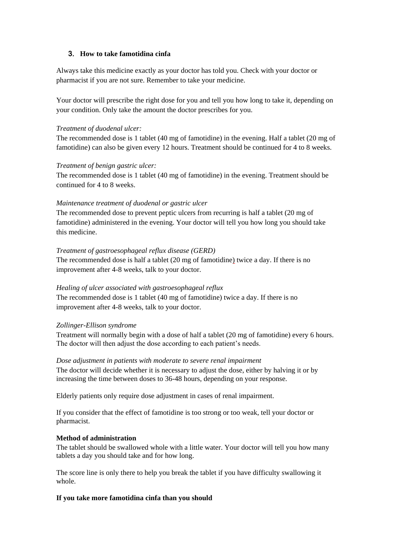# 3. **How to take famotidina cinfa**

Always take this medicine exactly as your doctor has told you. Check with your doctor or pharmacist if you are not sure. Remember to take your medicine.

Your doctor will prescribe the right dose for you and tell you how long to take it, depending on your condition. Only take the amount the doctor prescribes for you.

#### *Treatment of duodenal ulcer:*

The recommended dose is 1 tablet (40 mg of famotidine) in the evening. Half a tablet (20 mg of famotidine) can also be given every 12 hours. Treatment should be continued for 4 to 8 weeks*.*

#### *Treatment of benign gastric ulcer:*

The recommended dose is 1 tablet (40 mg of famotidine) in the evening. Treatment should be continued for 4 to 8 weeks.

#### *Maintenance treatment of duodenal or gastric ulcer*

The recommended dose to prevent peptic ulcers from recurring is half a tablet (20 mg of famotidine) administered in the evening. Your doctor will tell you how long you should take this medicine.

#### *Treatment of gastroesophageal reflux disease (GERD)*

The recommended dose is half a tablet (20 mg of famotidine) twice a day. If there is no improvement after 4-8 weeks, talk to your doctor.

## *Healing of ulcer associated with gastroesophageal reflux*

The recommended dose is 1 tablet (40 mg of famotidine) twice a day. If there is no improvement after 4-8 weeks, talk to your doctor.

## *Zollinger-Ellison syndrome*

Treatment will normally begin with a dose of half a tablet (20 mg of famotidine) every 6 hours. The doctor will then adjust the dose according to each patient's needs.

#### *Dose adjustment in patients with moderate to severe renal impairment*

The doctor will decide whether it is necessary to adjust the dose, either by halving it or by increasing the time between doses to 36-48 hours, depending on your response.

Elderly patients only require dose adjustment in cases of renal impairment.

If you consider that the effect of famotidine is too strong or too weak, tell your doctor or pharmacist.

#### **Method of administration**

The tablet should be swallowed whole with a little water. Your doctor will tell you how many tablets a day you should take and for how long.

The score line is only there to help you break the tablet if you have difficulty swallowing it whole.

#### **If you take more famotidina cinfa than you should**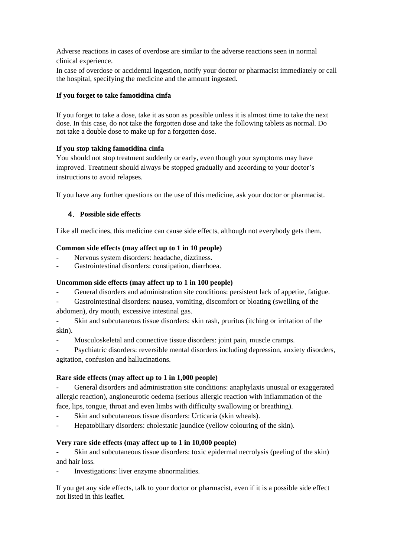Adverse reactions in cases of overdose are similar to the adverse reactions seen in normal clinical experience.

In case of overdose or accidental ingestion, notify your doctor or pharmacist immediately or call the hospital, specifying the medicine and the amount ingested.

# **If you forget to take famotidina cinfa**

If you forget to take a dose, take it as soon as possible unless it is almost time to take the next dose. In this case, do not take the forgotten dose and take the following tablets as normal. Do not take a double dose to make up for a forgotten dose.

# **If you stop taking famotidina cinfa**

You should not stop treatment suddenly or early, even though your symptoms may have improved. Treatment should always be stopped gradually and according to your doctor's instructions to avoid relapses.

If you have any further questions on the use of this medicine, ask your doctor or pharmacist.

# 4. **Possible side effects**

Like all medicines, this medicine can cause side effects, although not everybody gets them.

# **Common side effects (may affect up to 1 in 10 people)**

- Nervous system disorders: headache, dizziness.
- Gastrointestinal disorders: constipation, diarrhoea.

## **Uncommon side effects (may affect up to 1 in 100 people)**

General disorders and administration site conditions: persistent lack of appetite, fatigue.

Gastrointestinal disorders: nausea, vomiting, discomfort or bloating (swelling of the abdomen), dry mouth, excessive intestinal gas.

- Skin and subcutaneous tissue disorders: skin rash, pruritus (itching or irritation of the skin).

Musculoskeletal and connective tissue disorders: joint pain, muscle cramps.

Psychiatric disorders: reversible mental disorders including depression, anxiety disorders, agitation, confusion and hallucinations.

# **Rare side effects (may affect up to 1 in 1,000 people)**

- General disorders and administration site conditions: anaphylaxis unusual or exaggerated allergic reaction), angioneurotic oedema (serious allergic reaction with inflammation of the face, lips, tongue, throat and even limbs with difficulty swallowing or breathing).

- Skin and subcutaneous tissue disorders: Urticaria (skin wheals).
- Hepatobiliary disorders: cholestatic jaundice (yellow colouring of the skin).

# **Very rare side effects (may affect up to 1 in 10,000 people)**

Skin and subcutaneous tissue disorders: toxic epidermal necrolysis (peeling of the skin) and hair loss.

- Investigations: liver enzyme abnormalities.

If you get any side effects, talk to your doctor or pharmacist, even if it is a possible side effect not listed in this leaflet.